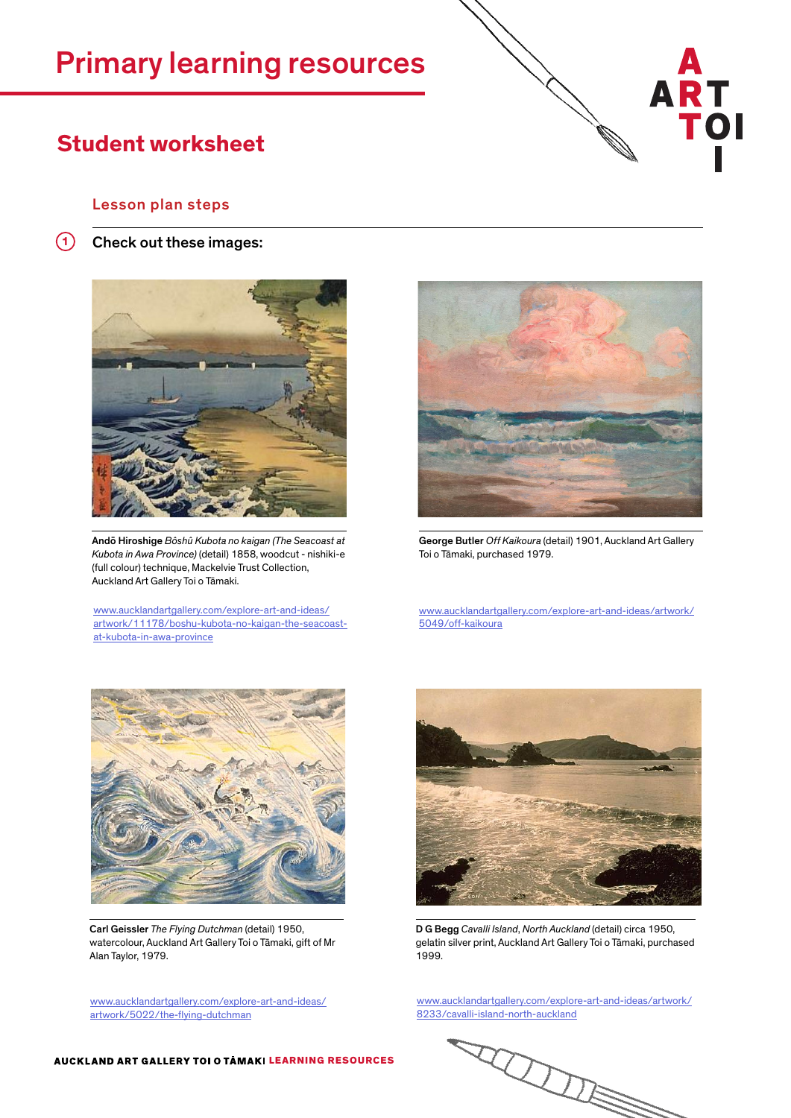## Primary learning resources

### **Student worksheet**

#### Lesson plan steps

**1** Check out these images:



[Andō Hiroshige](https://www.aucklandartgallery.com/explore-art-and-ideas/artist/378/ando-hiroshige) *[Bôshû Kubota no kaigan \(The Seacoast at](https://www.aucklandartgallery.com/explore-art-and-ideas/artwork/11178/boshu-kubota-no-kaigan-the-seacoast-at-kubota-in-awa-province)  Kubota in Awa Province)* (detail) [1858, woodcut - nishiki-e](https://www.aucklandartgallery.com/explore-art-and-ideas/artwork/11178/boshu-kubota-no-kaigan-the-seacoast-at-kubota-in-awa-province)  [\(full colour\) technique, Mackelvie Trust Collection,](https://www.aucklandartgallery.com/explore-art-and-ideas/artwork/11178/boshu-kubota-no-kaigan-the-seacoast-at-kubota-in-awa-province)  [Auckland Art Gallery Toi o Tāmaki.](https://www.aucklandartgallery.com/explore-art-and-ideas/artwork/11178/boshu-kubota-no-kaigan-the-seacoast-at-kubota-in-awa-province)

[www.aucklandartgallery.com/explore-art-and-ideas/](http://www.aucklandartgallery.com/explore-art-and-ideas/artwork/11178/boshu-kubota-no-kaigan-the-seacoast-at-kubota-in-awa-province ) [artwork/11178/boshu-kubota-no-kaigan-the-seacoast](http://www.aucklandartgallery.com/explore-art-and-ideas/artwork/11178/boshu-kubota-no-kaigan-the-seacoast-at-kubota-in-awa-province )[at-kubota-in-awa-province](http://www.aucklandartgallery.com/explore-art-and-ideas/artwork/11178/boshu-kubota-no-kaigan-the-seacoast-at-kubota-in-awa-province )



George Butler *[Off Kaikoura](https://www.aucklandartgallery.com/explore-art-and-ideas/artwork/5049/off-kaikoura)* (detail) 1901, Auckland Art Gallery Toi o Tāmaki, purchased 1979.

[www.aucklandartgallery.com/explore-art-and-ideas/artwork/](http://www.aucklandartgallery.com/explore-art-and-ideas/artwork/5049/off-kaikoura ) [5049/off-kaikoura](http://www.aucklandartgallery.com/explore-art-and-ideas/artwork/5049/off-kaikoura )



Carl Geissler *[The Flying Dutchman](https://www.aucklandartgallery.com/explore-art-and-ideas/artwork/5022/the-flying-dutchman)* (detail) 1950, watercolour, Auckland Art Gallery Toi o Tāmaki, gift of Mr Alan Taylor, 1979.

[www.aucklandartgallery.com/explore-art-and-ideas/](https://www.aucklandartgallery.com/explore-art-and-ideas/artwork/5022/the-flying-dutchman) [artwork/5022/the-flying-dutchman](https://www.aucklandartgallery.com/explore-art-and-ideas/artwork/5022/the-flying-dutchman)



D G Begg *[Cavalli Island](https://www.aucklandartgallery.com/explore-art-and-ideas/artwork/8233/cavalli-island-north-auckland)*, *North Auckland* (detail) circa 1950, gelatin silver print, Auckland Art Gallery Toi o Tāmaki, purchased 1999.

[www.aucklandartgallery.com/explore-art-and-ideas/artwork/](https://www.aucklandartgallery.com/explore-art-and-ideas/artwork/8233/cavalli-island-north-auckland) [8233/cavalli-island-north-auckland](https://www.aucklandartgallery.com/explore-art-and-ideas/artwork/8233/cavalli-island-north-auckland)





#### AUCKLAND ART GALLERY TOI O TAMAKI LEARNING RESOURCES